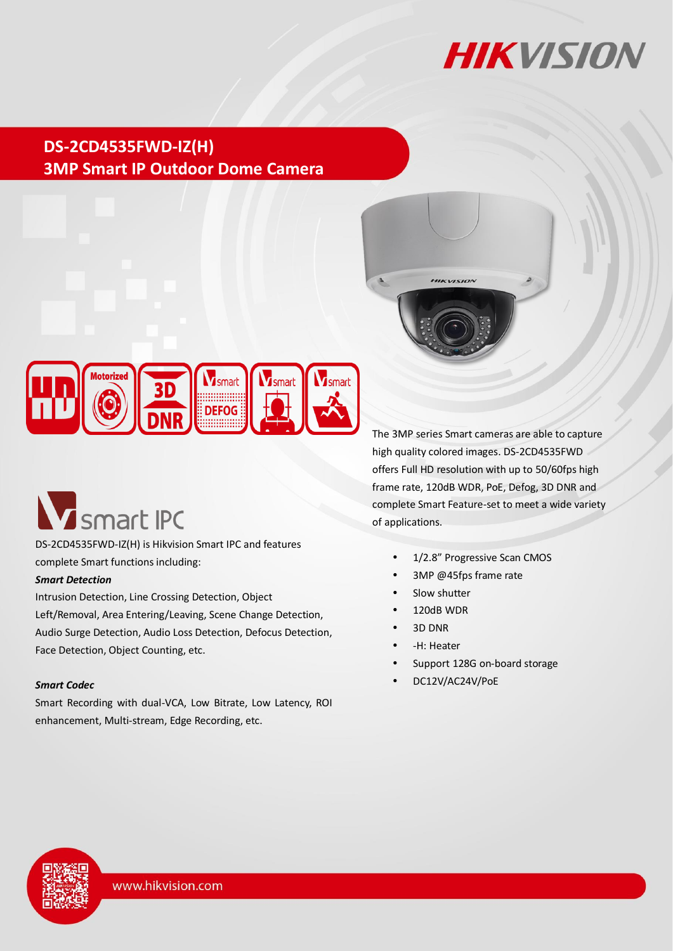

### **DS-2CD4535FWD-IZ(H) 3MP Smart IP Outdoor Dome Camera**



# **V** smart IPC

DS-2CD4535FWD-IZ(H) is Hikvision Smart IPC and features complete Smart functions including:

#### *Smart Detection*

Intrusion Detection, Line Crossing Detection, Object Left/Removal, Area Entering/Leaving, Scene Change Detection, Audio Surge Detection, Audio Loss Detection, Defocus Detection, Face Detection, Object Counting, etc.

#### *Smart Codec*

Smart Recording with dual-VCA, Low Bitrate, Low Latency, ROI enhancement, Multi-stream, Edge Recording, etc.

The 3MP series Smart cameras are able to capture high quality colored images. DS-2CD4535FWD offers Full HD resolution with up to 50/60fps high frame rate, 120dB WDR, PoE, Defog, 3D DNR and complete Smart Feature-set to meet a wide variety of applications.

- 1/2.8" Progressive Scan CMOS
- 3MP @45fps frame rate

**HIKVISION** 

- Slow shutter
- 120dB WDR
- 3D DNR
- -H: Heater
- Support 128G on-board storage
- DC12V/AC24V/PoE

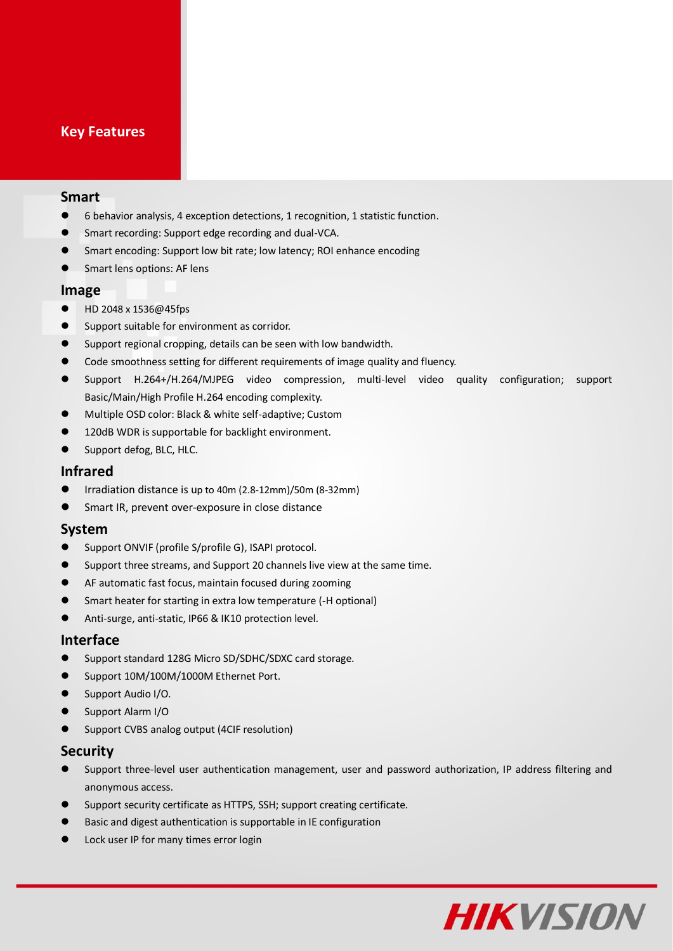#### **Key Features**

#### **Smart**

- 6 behavior analysis, 4 exception detections, 1 recognition, 1 statistic function.
- **•** Smart recording: Support edge recording and dual-VCA.
- Smart encoding: Support low bit rate; low latency; ROI enhance encoding
- **•** Smart lens options: AF lens

#### **Image**

- HD 2048 x 1536@45fps
- **O** Support suitable for environment as corridor.
- Support regional cropping, details can be seen with low bandwidth.
- Code smoothness setting for different requirements of image quality and fluency.
- Support H.264+/H.264/MJPEG video compression, multi-level video quality configuration; support Basic/Main/High Profile H.264 encoding complexity.
- Multiple OSD color: Black & white self-adaptive; Custom
- **120dB WDR is supportable for backlight environment.**
- Support defog, BLC, HLC.

#### **Infrared**

- Irradiation distance is up to 40m (2.8-12mm)/50m (8-32mm)
- **Smart IR, prevent over-exposure in close distance**

#### **System**

- Support ONVIF (profile S/profile G), ISAPI protocol.
- Support three streams, and Support 20 channels live view at the same time.
- AF automatic fast focus, maintain focused during zooming
- Smart heater for starting in extra low temperature (-H optional)
- Anti-surge, anti-static, IP66 & IK10 protection level.

#### **Interface**

- Support standard 128G Micro SD/SDHC/SDXC card storage.
- Support 10M/100M/1000M Ethernet Port.
- Support Audio I/O.
- Support Alarm I/O
- **•** Support CVBS analog output (4CIF resolution)

#### **Security**

- Support three-level user authentication management, user and password authorization, IP address filtering and anonymous access.
- Support security certificate as HTTPS, SSH; support creating certificate.
- Basic and digest authentication is supportable in IE configuration
- Lock user IP for many times error login

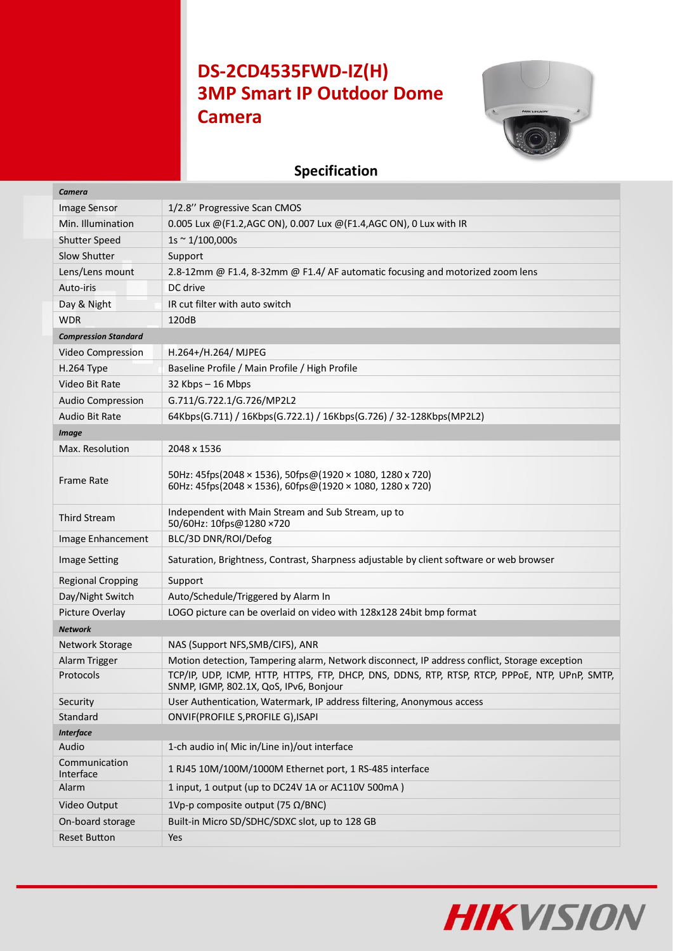# **DS-2CD4535FWD-IZ(H) 3MP Smart IP Outdoor Dome Camera**



## **Specification**

*Camera*

| <b>Image Sensor</b>         | 1/2.8" Progressive Scan CMOS                                                                                                             |  |
|-----------------------------|------------------------------------------------------------------------------------------------------------------------------------------|--|
| Min. Illumination           | 0.005 Lux @(F1.2,AGC ON), 0.007 Lux @(F1.4,AGC ON), 0 Lux with IR                                                                        |  |
| <b>Shutter Speed</b>        | $1s \sim 1/100,000s$                                                                                                                     |  |
| <b>Slow Shutter</b>         | Support                                                                                                                                  |  |
| Lens/Lens mount             | 2.8-12mm @ F1.4, 8-32mm @ F1.4/ AF automatic focusing and motorized zoom lens                                                            |  |
| Auto-iris                   | DC drive                                                                                                                                 |  |
| Day & Night                 | IR cut filter with auto switch                                                                                                           |  |
| <b>WDR</b>                  | 120dB                                                                                                                                    |  |
| <b>Compression Standard</b> |                                                                                                                                          |  |
| Video Compression           | H.264+/H.264/ MJPEG                                                                                                                      |  |
| H.264 Type                  | Baseline Profile / Main Profile / High Profile                                                                                           |  |
| Video Bit Rate              | 32 Kbps - 16 Mbps                                                                                                                        |  |
| <b>Audio Compression</b>    | G.711/G.722.1/G.726/MP2L2                                                                                                                |  |
| <b>Audio Bit Rate</b>       | 64Kbps(G.711) / 16Kbps(G.722.1) / 16Kbps(G.726) / 32-128Kbps(MP2L2)                                                                      |  |
| <b>Image</b>                |                                                                                                                                          |  |
| Max. Resolution             | 2048 x 1536                                                                                                                              |  |
| <b>Frame Rate</b>           | 50Hz: 45fps(2048 × 1536), 50fps@(1920 × 1080, 1280 x 720)<br>60Hz: 45fps(2048 × 1536), 60fps@(1920 × 1080, 1280 x 720)                   |  |
| <b>Third Stream</b>         | Independent with Main Stream and Sub Stream, up to<br>50/60Hz: 10fps@1280 ×720                                                           |  |
| Image Enhancement           | BLC/3D DNR/ROI/Defog                                                                                                                     |  |
| <b>Image Setting</b>        | Saturation, Brightness, Contrast, Sharpness adjustable by client software or web browser                                                 |  |
| <b>Regional Cropping</b>    | Support                                                                                                                                  |  |
| Day/Night Switch            | Auto/Schedule/Triggered by Alarm In                                                                                                      |  |
| Picture Overlay             | LOGO picture can be overlaid on video with 128x128 24bit bmp format                                                                      |  |
| <b>Network</b>              |                                                                                                                                          |  |
| Network Storage             | NAS (Support NFS, SMB/CIFS), ANR                                                                                                         |  |
| Alarm Trigger               | Motion detection, Tampering alarm, Network disconnect, IP address conflict, Storage exception                                            |  |
| Protocols                   | TCP/IP, UDP, ICMP, HTTP, HTTPS, FTP, DHCP, DNS, DDNS, RTP, RTSP, RTCP, PPPOE, NTP, UPnP, SMTP,<br>SNMP, IGMP, 802.1X, QoS, IPv6, Bonjour |  |
| Security                    | User Authentication, Watermark, IP address filtering, Anonymous access                                                                   |  |
| Standard                    | ONVIF(PROFILE S, PROFILE G), ISAPI                                                                                                       |  |
| <b>Interface</b>            |                                                                                                                                          |  |
| Audio                       | 1-ch audio in( Mic in/Line in)/out interface                                                                                             |  |
| Communication<br>Interface  | 1 RJ45 10M/100M/1000M Ethernet port, 1 RS-485 interface                                                                                  |  |
| Alarm                       | 1 input, 1 output (up to DC24V 1A or AC110V 500mA)                                                                                       |  |
| Video Output                | 1Vp-p composite output (75 $\Omega$ /BNC)                                                                                                |  |
| On-board storage            | Built-in Micro SD/SDHC/SDXC slot, up to 128 GB                                                                                           |  |
| <b>Reset Button</b>         | Yes                                                                                                                                      |  |